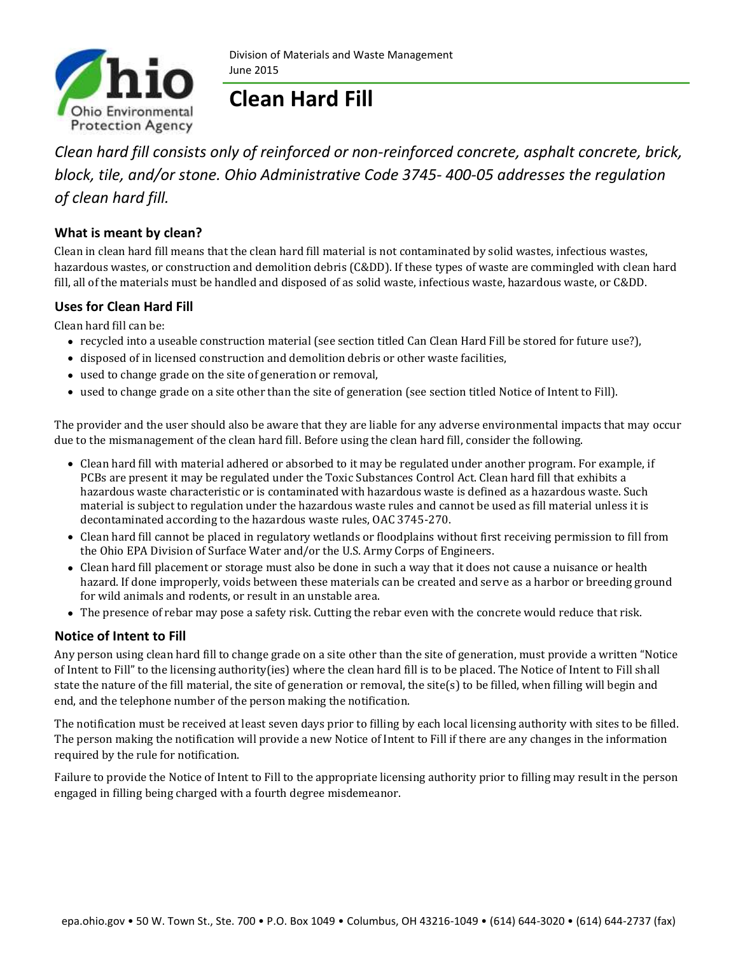

# **Clean Hard Fill**

*Clean hard fill consists only of reinforced or non-reinforced concrete, asphalt concrete, brick, block, tile, and/or stone. Ohio Administrative Code 3745- 400-05 addresses the regulation of clean hard fill.* 

## **What is meant by clean?**

Clean in clean hard fill means that the clean hard fill material is not contaminated by solid wastes, infectious wastes, hazardous wastes, or construction and demolition debris (C&DD). If these types of waste are commingled with clean hard fill, all of the materials must be handled and disposed of as solid waste, infectious waste, hazardous waste, or C&DD.

## **Uses for Clean Hard Fill**

Clean hard fill can be:

- recycled into a useable construction material (see section titled Can Clean Hard Fill be stored for future use?),
- disposed of in licensed construction and demolition debris or other waste facilities,
- used to change grade on the site of generation or removal,
- used to change grade on a site other than the site of generation (see section titled Notice of Intent to Fill).

The provider and the user should also be aware that they are liable for any adverse environmental impacts that may occur due to the mismanagement of the clean hard fill. Before using the clean hard fill, consider the following.

- Clean hard fill with material adhered or absorbed to it may be regulated under another program. For example, if PCBs are present it may be regulated under the Toxic Substances Control Act. Clean hard fill that exhibits a hazardous waste characteristic or is contaminated with hazardous waste is defined as a hazardous waste. Such material is subject to regulation under the hazardous waste rules and cannot be used as fill material unless it is decontaminated according to the hazardous waste rules, OAC 3745-270.
- Clean hard fill cannot be placed in regulatory wetlands or floodplains without first receiving permission to fill from the Ohio EPA Division of Surface Water and/or the U.S. Army Corps of Engineers.
- Clean hard fill placement or storage must also be done in such a way that it does not cause a nuisance or health hazard. If done improperly, voids between these materials can be created and serve as a harbor or breeding ground for wild animals and rodents, or result in an unstable area.
- The presence of rebar may pose a safety risk. Cutting the rebar even with the concrete would reduce that risk.

### **Notice of Intent to Fill**

Any person using clean hard fill to change grade on a site other than the site of generation, must provide a written "Notice of Intent to Fill" to the licensing authority(ies) where the clean hard fill is to be placed. The Notice of Intent to Fill shall state the nature of the fill material, the site of generation or removal, the site(s) to be filled, when filling will begin and end, and the telephone number of the person making the notification.

The notification must be received at least seven days prior to filling by each local licensing authority with sites to be filled. The person making the notification will provide a new Notice of Intent to Fill if there are any changes in the information required by the rule for notification.

Failure to provide the Notice of Intent to Fill to the appropriate licensing authority prior to filling may result in the person engaged in filling being charged with a fourth degree misdemeanor.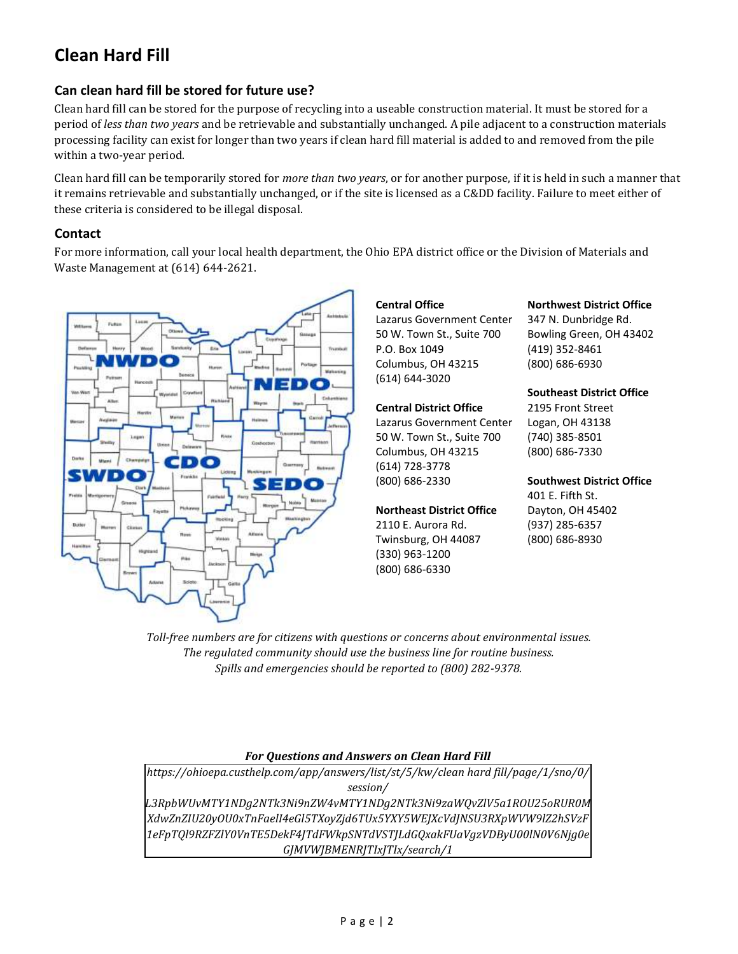## **Clean Hard Fill**

## **Can clean hard fill be stored for future use?**

Clean hard fill can be stored for the purpose of recycling into a useable construction material. It must be stored for a period of *less than two years* and be retrievable and substantially unchanged. A pile adjacent to a construction materials processing facility can exist for longer than two years if clean hard fill material is added to and removed from the pile within a two-year period.

Clean hard fill can be temporarily stored for *more than two years*, or for another purpose, if it is held in such a manner that it remains retrievable and substantially unchanged, or if the site is licensed as a C&DD facility. Failure to meet either of these criteria is considered to be illegal disposal.

#### **Contact**

For more information, call your local health department, the Ohio EPA district office or the Division of Materials and Waste Management at (614) 644-2621.



#### **Central Office**

Lazarus Government Center 50 W. Town St., Suite 700 P.O. Box 1049 Columbus, OH 43215 (614) 644-3020

#### **Central District Office**

Lazarus Government Center 50 W. Town St., Suite 700 Columbus, OH 43215 (614) 728-3778 (800) 686-2330

#### **Northeast District Office**

2110 E. Aurora Rd. Twinsburg, OH 44087 (330) 963-1200 (800) 686-6330

**Northwest District Office**

347 N. Dunbridge Rd. Bowling Green, OH 43402 (419) 352-8461 (800) 686-6930

#### **Southeast District Office**

2195 Front Street Logan, OH 43138 (740) 385-8501 (800) 686-7330

**Southwest District Office** 401 E. Fifth St. Dayton, OH 45402 (937) 285-6357 (800) 686-8930

*Toll-free numbers are for citizens with questions or concerns about environmental issues. The regulated community should use the business line for routine business. Spills and emergencies should be reported to (800) 282-9378.*

#### *For Questions and Answers on Clean Hard Fill*

*https://ohioepa.custhelp.com/app/answers/list/st/5/kw/clean hard fill/page/1/sno/0/ session/*

*L3RpbWUvMTY1NDg2NTk3Ni9nZW4vMTY1NDg2NTk3Ni9zaWQvZlV5a1ROU25oRUR0M XdwZnZIU20yOU0xTnFaelI4eGl5TXoyZjd6TUx5YXY5WEJXcVdJNSU3RXpWVW9lZ2hSVzF 1eFpTQl9RZFZlY0VnTE5DekF4JTdFWkpSNTdVSTJLdGQxakFUaVgzVDByU00lN0V6Njg0e GJMVWJBMENRJTIxJTIx/search/1*